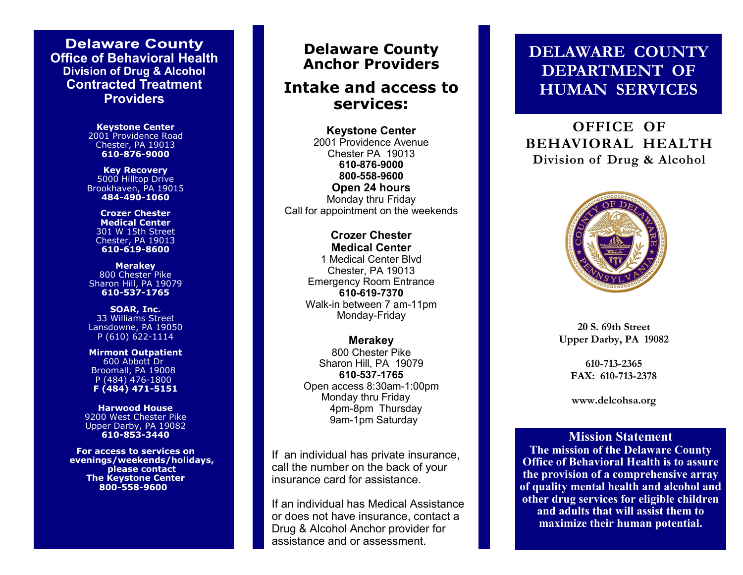**Delaware County Office of Behavioral Health Division of Drug & Alcohol Contracted Treatment Providers**

> **Keystone Center**  2001 Providence Road Chester, PA 19013 **610-876-9000**

**Key Recovery** 5000 Hilltop Drive Brookhaven, PA 19015 **484-490-1060**

**Crozer Chester Medical Center** 301 W 15th Street Chester, PA 19013 **610-619-8600**

**Merakey** 800 Chester Pike Sharon Hill, PA 19079 **610-537-1765**

**SOAR, Inc.**  33 Williams Street Lansdowne, PA 19050 P (610) 622-1114

**Mirmont Outpatient** 600 Abbott Dr Broomall, PA 19008 P (484) 476-1800 **F (484) 471-5151** 

**Harwood House** 9200 West Chester Pike Upper Darby, PA 19082 **610-853-3440**

**For access to services on evenings/weekends/holidays, please contact The Keystone Center 800-558-9600**

## **Delaware County Delaware County Anchor Providers Anchor Providers**

### **Intake and access to Intake and access to services: services:**

**Keystone Center** 2001 Providence Avenue Chester PA 19013 Chester PA 19013 **610-876-9000 610-876-9000 800-558-9600 800-558-9600 Open 24 hours Monday thru Friday** Call for appointment on the weekends **Keystone Center**

**Crozer Chester Medical Center Medical Center** 1 Medical Center Blvd Chester, PA 19013 Emergency Room Entrance **610-497-7223 610-619-7370** Walk-in between 7 am-11pm Monday-Friday **Crozer Chester** 

Call for appointment on the weekends

**Northwestern Human Services (NHS)**<br>800 Chester Pike 800 Chester Pike Sharon Hill, PA 19079 **610-537-1765** Open access 8:30am-1:00pm Monday thru Friday 4pm-8pm Thursday If an individual has private insurance, call **Merakey 610-537-1765** Monday thru Friday 9am-1pm Saturday

If an individual has private insurance,  $\mathcal{I}$ an individual direction and  $\mathcal{I}$  and  $\mathcal{I}$ insurance card for assistance. call the number on the back of your

 $\mathcal{A} = \mathcal{A}$  and  $\mathcal{A} = \mathcal{A}$  and  $\mathcal{A} = \mathcal{A}$  and  $\mathcal{A} = \mathcal{A}$ If an individual has Medical Assistance or does not have insurance, contact a Drug & Alcohol Anchor provider for assistance and or assessment.

# **DELAWARE COUNTY DEPARTMENT OF HUMAN SERVICES**

**OFFICE OF BEHAVIORAL HEALTH Division of Drug & Alcohol**



**20 S. 69th Street Upper Darby, PA 19082**

> **610-713-2365 FAX: 610-713-2378**

> **www.delcohsa.org**

**Mission Statement The mission of the Delaware County Office of Behavioral Health is to assure the provision of a comprehensive array of quality mental health and alcohol and other drug services for eligible children and adults that will assist them to maximize their human potential.**